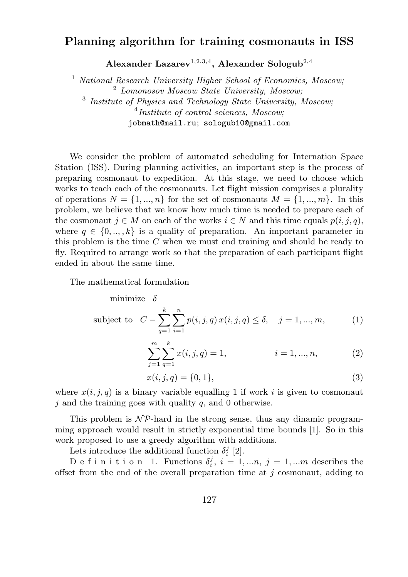## Planning algorithm for training cosmonauts in ISS

Alexander Lazarev<sup>1,2,3,4</sup>, Alexander Sologub<sup>2,4</sup>

 $1$  National Research University Higher School of Economics, Moscow; <sup>2</sup> Lomonosov Moscow State University, Moscow; <sup>3</sup> Institute of Physics and Technology State University, Moscow;  $<sup>4</sup> Institute of control sciences, Moscow;$ </sup> jobmath@mail.ru; sologub10@gmail.com

We consider the problem of automated scheduling for Internation Space Station (ISS). During planning activities, an important step is the process of preparing cosmonaut to expedition. At this stage, we need to choose which works to teach each of the cosmonauts. Let flight mission comprises a plurality of operations  $N = \{1, ..., n\}$  for the set of cosmonauts  $M = \{1, ..., m\}$ . In this problem, we believe that we know how much time is needed to prepare each of the cosmonaut  $j \in M$  on each of the works  $i \in N$  and this time equals  $p(i, j, q)$ , where  $q \in \{0, ..., k\}$  is a quality of preparation. An important parameter in this problem is the time C when we must end training and should be ready to fly. Required to arrange work so that the preparation of each participant flight ended in about the same time.

The mathematical formulation

minimize 
$$
\delta
$$
  
subject to  $C - \sum_{q=1}^{k} \sum_{i=1}^{n} p(i, j, q) x(i, j, q) \le \delta, \quad j = 1, ..., m,$  (1)

$$
\sum_{j=1}^{m} \sum_{q=1}^{k} x(i, j, q) = 1, \qquad i = 1, ..., n,
$$
 (2)

$$
x(i, j, q) = \{0, 1\},\tag{3}
$$

where  $x(i, j, q)$  is a binary variable equalling 1 if work i is given to cosmonaut  $j$  and the training goes with quality  $q$ , and 0 otherwise.

This problem is  $N\mathcal{P}$ -hard in the strong sense, thus any dinamic programming approach would result in strictly exponential time bounds [1]. So in this work proposed to use a greedy algorithm with additions.

Lets introduce the additional function  $\delta_i^j$  [2].

D e f i n i t i o n 1. Functions  $\delta_i^j$ ,  $i = 1,...n$ ,  $j = 1,...m$  describes the offset from the end of the overall preparation time at  $j$  cosmonaut, adding to